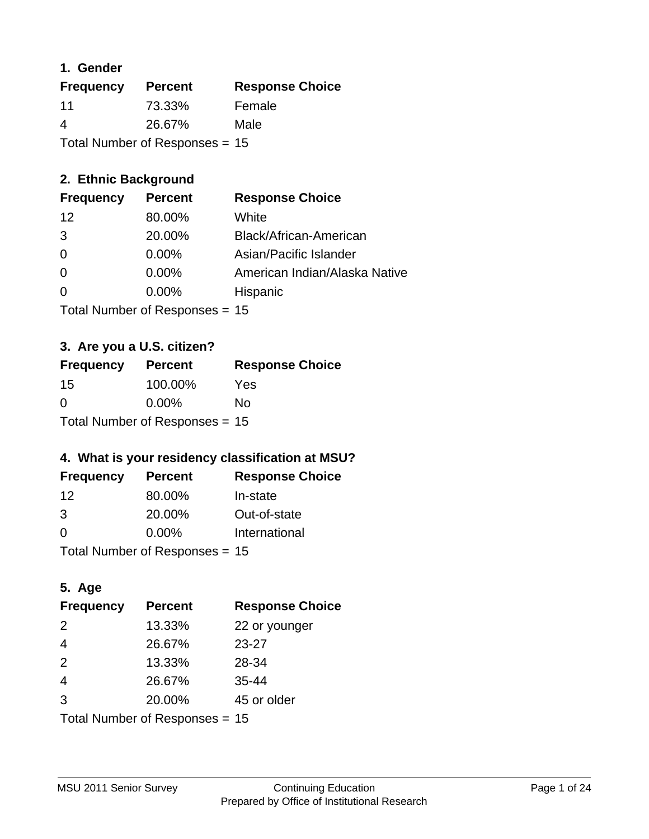### **1. Gender**

| <b>Frequency</b> | <b>Percent</b>                   | <b>Response Choice</b> |
|------------------|----------------------------------|------------------------|
| 11               | 73.33%                           | Female                 |
| 4                | 26.67%                           | Male                   |
|                  | Total Number of Responses = $15$ |                        |

## **2. Ethnic Background**

| <b>Frequency</b>  | <b>Percent</b> | <b>Response Choice</b>        |
|-------------------|----------------|-------------------------------|
| $12 \overline{ }$ | 80.00%         | White                         |
| -3                | 20.00%         | Black/African-American        |
| 0                 | 0.00%          | Asian/Pacific Islander        |
| 0                 | 0.00%          | American Indian/Alaska Native |
| $\Omega$          | 0.00%          | Hispanic                      |
|                   |                |                               |

Total Number of Responses = 15

## **3. Are you a U.S. citizen?**

| <b>Frequency</b>                 | <b>Percent</b> | <b>Response Choice</b> |
|----------------------------------|----------------|------------------------|
| 15                               | 100.00%        | Yes                    |
| $\Omega$                         | $0.00\%$       | Nο                     |
| Total Number of Responses = $15$ |                |                        |

## **4. What is your residency classification at MSU?**

| <b>Frequency</b> | <b>Percent</b>             | <b>Response Choice</b> |
|------------------|----------------------------|------------------------|
| -12              | 80.00%                     | In-state               |
| 3                | 20.00%                     | Out-of-state           |
| $\Omega$         | $0.00\%$                   | International          |
|                  | $\tau$ . The set of $\sim$ |                        |

Total Number of Responses = 15

## **5. Age**

| <b>Frequency</b>                 | <b>Percent</b> | <b>Response Choice</b> |
|----------------------------------|----------------|------------------------|
| 2                                | 13.33%         | 22 or younger          |
| $\overline{4}$                   | 26.67%         | $23 - 27$              |
| 2                                | 13.33%         | 28-34                  |
| $\overline{4}$                   | 26.67%         | $35 - 44$              |
| 3                                | 20.00%         | 45 or older            |
| Total Number of Responses = $15$ |                |                        |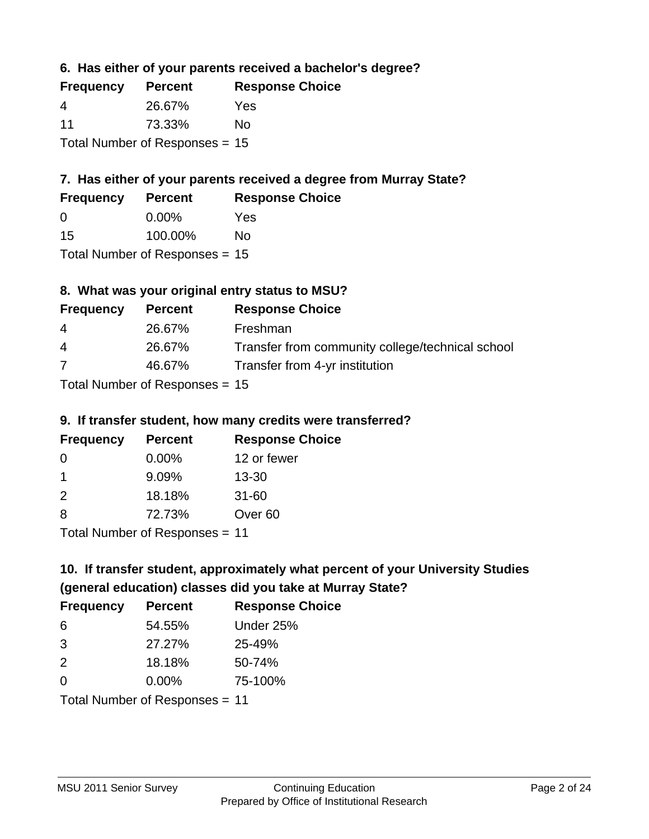**6. Has either of your parents received a bachelor's degree?**

| <b>Frequency</b> | <b>Percent</b>                   | <b>Response Choice</b> |
|------------------|----------------------------------|------------------------|
| 4                | 26.67%                           | Yes                    |
| 11               | 73.33%                           | Nο                     |
|                  | Total Number of Responses = $15$ |                        |

## **7. Has either of your parents received a degree from Murray State?**

| <b>Frequency</b> | <b>Percent</b> | <b>Response Choice</b> |
|------------------|----------------|------------------------|
| 0                | $0.00\%$       | Yes                    |
| 15               | 100.00%        | No                     |
|                  |                |                        |

Total Number of Responses = 15

## **8. What was your original entry status to MSU?**

| <b>Frequency</b> | <b>Percent</b>               | <b>Response Choice</b>                           |
|------------------|------------------------------|--------------------------------------------------|
| 4                | 26.67%                       | Freshman                                         |
| $\overline{4}$   | 26.67%                       | Transfer from community college/technical school |
| 7                | 46.67%                       | Transfer from 4-yr institution                   |
|                  | Total Number of Deepensee 15 |                                                  |

Total Number of Responses = 15

### **9. If transfer student, how many credits were transferred?**

| <b>Frequency</b> | <b>Percent</b>               | <b>Response Choice</b> |
|------------------|------------------------------|------------------------|
| -0               | $0.00\%$                     | 12 or fewer            |
| 1                | 9.09%                        | $13 - 30$              |
| $\mathcal{P}$    | 18.18%                       | $31 - 60$              |
| -8               | 72.73%                       | Over <sub>60</sub>     |
|                  | Total Number of Desponses 44 |                        |

Total Number of Responses = 11

# **10. If transfer student, approximately what percent of your University Studies (general education) classes did you take at Murray State?**

| <b>Frequency</b> | <b>Percent</b>                 | <b>Response Choice</b> |
|------------------|--------------------------------|------------------------|
| -6               | 54.55%                         | Under 25%              |
| 3                | 27.27%                         | 25-49%                 |
| 2                | 18.18%                         | 50-74%                 |
| $\Omega$         | 0.00%                          | 75-100%                |
|                  | Total Number of Responses = 11 |                        |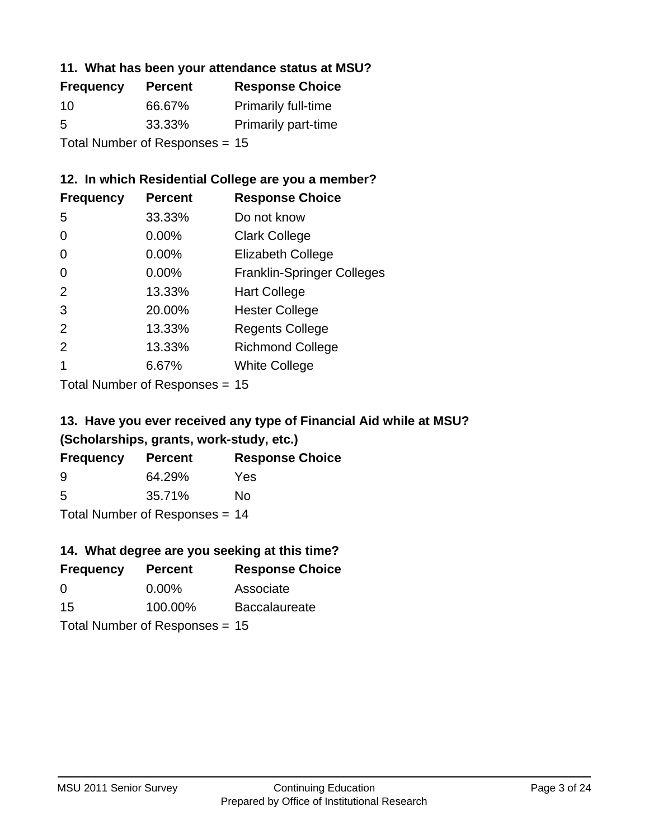### **11. What has been your attendance status at MSU?**

| <b>Frequency</b> | <b>Percent</b>                 | <b>Response Choice</b>     |
|------------------|--------------------------------|----------------------------|
| 10               | 66.67%                         | Primarily full-time        |
| 5                | 33.33%                         | <b>Primarily part-time</b> |
|                  | Total Number of Responses = 15 |                            |

### **12. In which Residential College are you a member?**

| <b>Frequency</b> | <b>Percent</b> | <b>Response Choice</b>            |
|------------------|----------------|-----------------------------------|
| 5                | 33.33%         | Do not know                       |
| 0                | $0.00\%$       | <b>Clark College</b>              |
| 0                | $0.00\%$       | <b>Elizabeth College</b>          |
| 0                | $0.00\%$       | <b>Franklin-Springer Colleges</b> |
| 2                | 13.33%         | <b>Hart College</b>               |
| 3                | 20.00%         | <b>Hester College</b>             |
| 2                | 13.33%         | <b>Regents College</b>            |
| $\mathcal{P}$    | 13.33%         | <b>Richmond College</b>           |
|                  | 6.67%          | <b>White College</b>              |

Total Number of Responses = 15

## **13. Have you ever received any type of Financial Aid while at MSU? (Scholarships, grants, work-study, etc.)**

| <b>Frequency</b> | <b>Percent</b>               | <b>Response Choice</b> |
|------------------|------------------------------|------------------------|
| 9                | 64.29%                       | Yes                    |
| 5                | 35.71%                       | No                     |
|                  | Total Number of Deepensee 44 |                        |

Total Number of Responses = 14

## **14. What degree are you seeking at this time?**

| <b>Frequency</b> | <b>Percent</b>                   | <b>Response Choice</b> |
|------------------|----------------------------------|------------------------|
| 0                | $0.00\%$                         | Associate              |
| 15               | 100.00%                          | <b>Baccalaureate</b>   |
|                  | Total Number of Responses = $15$ |                        |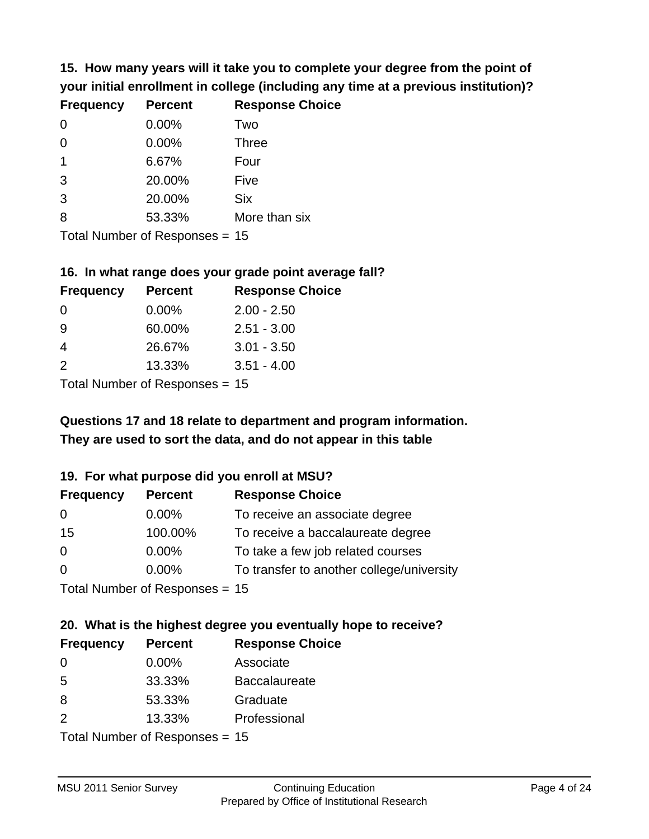**15. How many years will it take you to complete your degree from the point of your initial enrollment in college (including any time at a previous institution)?**

| <b>Frequency</b> | <b>Percent</b> | <b>Response Choice</b> |
|------------------|----------------|------------------------|
| $\Omega$         | 0.00%          | Two                    |
| 0                | 0.00%          | <b>Three</b>           |
|                  | 6.67%          | Four                   |
| 3                | 20.00%         | Five                   |
| 3                | 20.00%         | <b>Six</b>             |
| 8                | 53.33%         | More than six          |
|                  |                |                        |

Total Number of Responses = 15

#### **16. In what range does your grade point average fall?**

| <b>Frequency</b> | <b>Percent</b> | <b>Response Choice</b> |
|------------------|----------------|------------------------|
| 0                | $0.00\%$       | $2.00 - 2.50$          |
| -9               | 60.00%         | $2.51 - 3.00$          |
| 4                | 26.67%         | $3.01 - 3.50$          |
| $\mathcal{P}$    | 13.33%         | $3.51 - 4.00$          |
|                  |                |                        |

Total Number of Responses = 15

## **They are used to sort the data, and do not appear in this table Questions 17 and 18 relate to department and program information.**

### **19. For what purpose did you enroll at MSU?**

| <b>Frequency</b> | <b>Percent</b>                 | <b>Response Choice</b>                    |
|------------------|--------------------------------|-------------------------------------------|
| 0                | $0.00\%$                       | To receive an associate degree            |
| 15               | 100.00%                        | To receive a baccalaureate degree         |
| 0                | $0.00\%$                       | To take a few job related courses         |
| $\Omega$         | $0.00\%$                       | To transfer to another college/university |
|                  | Total Number of Responses = 15 |                                           |

# **20. What is the highest degree you eventually hope to receive?**

| <b>Frequency</b> | <b>Percent</b>             | <b>Response Choice</b> |
|------------------|----------------------------|------------------------|
| 0                | $0.00\%$                   | Associate              |
| 5                | 33.33%                     | <b>Baccalaureate</b>   |
| 8                | 53.33%                     | Graduate               |
| 2                | 13.33%                     | Professional           |
|                  | Total Number of Desperance |                        |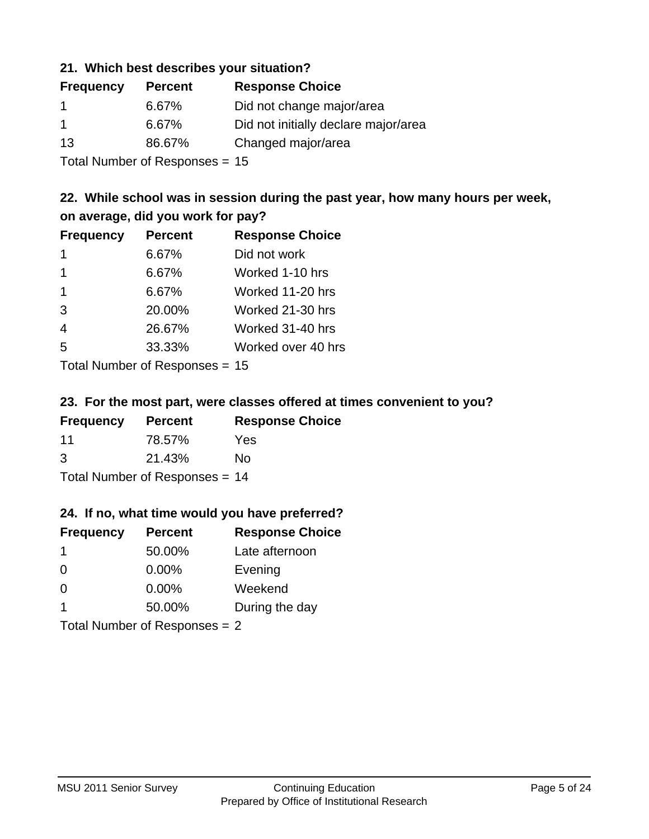### **21. Which best describes your situation?**

| <b>Frequency</b> | <b>Percent</b> | <b>Response Choice</b>               |
|------------------|----------------|--------------------------------------|
| -1               | 6.67%          | Did not change major/area            |
| $\overline{1}$   | 6.67%          | Did not initially declare major/area |
| 13               | 86.67%         | Changed major/area                   |
|                  |                |                                      |

Total Number of Responses = 15

### **22. While school was in session during the past year, how many hours per week, on average, did you work for pay?**

| <b>Frequency</b> | <b>Percent</b> | <b>Response Choice</b> |
|------------------|----------------|------------------------|
| 1                | 6.67%          | Did not work           |
| $\mathbf 1$      | 6.67%          | Worked 1-10 hrs        |
| $\mathbf 1$      | 6.67%          | Worked 11-20 hrs       |
| 3                | 20.00%         | Worked 21-30 hrs       |
| $\overline{4}$   | 26.67%         | Worked 31-40 hrs       |
| 5                | 33.33%         | Worked over 40 hrs     |
|                  |                |                        |

Total Number of Responses = 15

### **23. For the most part, were classes offered at times convenient to you?**

| <b>Frequency</b>               | <b>Percent</b> | <b>Response Choice</b> |
|--------------------------------|----------------|------------------------|
| 11                             | 78.57%         | Yes                    |
| 3                              | 21.43%         | Nο                     |
| Total Number of Responses = 14 |                |                        |

### **24. If no, what time would you have preferred?**

| <b>Frequency</b> | <b>Percent</b>                  | <b>Response Choice</b> |
|------------------|---------------------------------|------------------------|
| $\mathbf 1$      | 50.00%                          | Late afternoon         |
| $\Omega$         | $0.00\%$                        | Evening                |
| $\Omega$         | $0.00\%$                        | Weekend                |
| 1                | 50.00%                          | During the day         |
|                  | Total Number of Responses = $2$ |                        |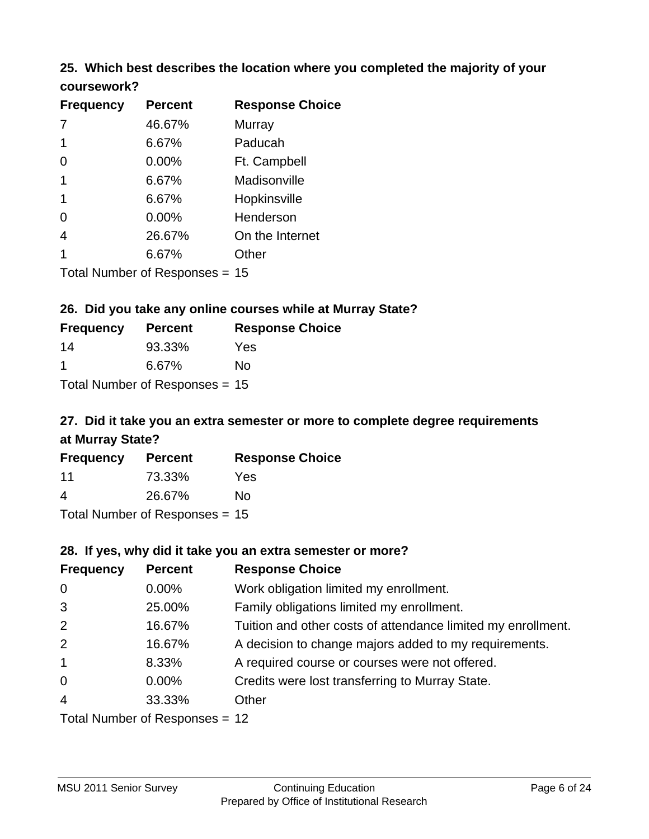### **25. Which best describes the location where you completed the majority of your coursework?**

| <b>Frequency</b> | <b>Percent</b>                 | <b>Response Choice</b> |
|------------------|--------------------------------|------------------------|
|                  | 46.67%                         | Murray                 |
| 1                | 6.67%                          | Paducah                |
| 0                | 0.00%                          | Ft. Campbell           |
| 1                | 6.67%                          | Madisonville           |
| 1                | 6.67%                          | Hopkinsville           |
| 0                | 0.00%                          | Henderson              |
| 4                | 26.67%                         | On the Internet        |
| 1                | 6.67%                          | Other                  |
|                  | Total Number of Responses = 15 |                        |

**26. Did you take any online courses while at Murray State?**

| <b>Frequency</b> | <b>Percent</b>                   | <b>Response Choice</b> |
|------------------|----------------------------------|------------------------|
| 14               | 93.33%                           | Yes                    |
| -1               | 6.67%                            | No                     |
|                  | Total Number of Responses = $15$ |                        |

## **27. Did it take you an extra semester or more to complete degree requirements at Murray State?**

| <b>Frequency</b> | <b>Percent</b>                   | <b>Response Choice</b> |
|------------------|----------------------------------|------------------------|
| 11               | 73.33%                           | Yes                    |
| 4                | 26.67%                           | No                     |
|                  | Total Number of Responses $= 15$ |                        |

**28. If yes, why did it take you an extra semester or more?**

| <b>Frequency</b> | <b>Percent</b>                  | <b>Response Choice</b>                                       |  |  |
|------------------|---------------------------------|--------------------------------------------------------------|--|--|
| $\mathbf 0$      | $0.00\%$                        | Work obligation limited my enrollment.                       |  |  |
| 3                | 25.00%                          | Family obligations limited my enrollment.                    |  |  |
| 2                | 16.67%                          | Tuition and other costs of attendance limited my enrollment. |  |  |
| 2                | 16.67%                          | A decision to change majors added to my requirements.        |  |  |
| $\mathbf{1}$     | 8.33%                           | A required course or courses were not offered.               |  |  |
| $\mathbf 0$      | $0.00\%$                        | Credits were lost transferring to Murray State.              |  |  |
| $\overline{4}$   | 33.33%                          | Other                                                        |  |  |
|                  | Total Number of Responses $-12$ |                                                              |  |  |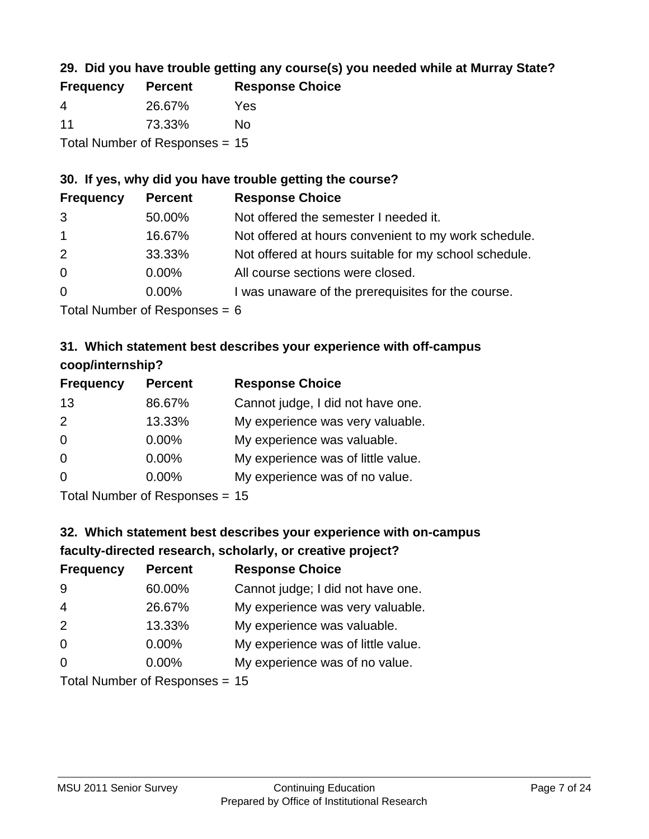## **29. Did you have trouble getting any course(s) you needed while at Murray State?**

| <b>Frequency</b> | <b>Percent</b>                   | <b>Response Choice</b> |
|------------------|----------------------------------|------------------------|
| -4               | 26.67%                           | Yes                    |
| 11               | 73.33%                           | Nο                     |
|                  | Total Number of Responses = $15$ |                        |

### **30. If yes, why did you have trouble getting the course?**

| <b>Frequency</b> | <b>Percent</b> | <b>Response Choice</b>                                |
|------------------|----------------|-------------------------------------------------------|
| 3                | 50.00%         | Not offered the semester I needed it.                 |
| $\overline{1}$   | 16.67%         | Not offered at hours convenient to my work schedule.  |
| 2                | 33.33%         | Not offered at hours suitable for my school schedule. |
| $\overline{0}$   | $0.00\%$       | All course sections were closed.                      |
| $\overline{0}$   | $0.00\%$       | I was unaware of the prerequisites for the course.    |
|                  |                |                                                       |

Total Number of Responses  $= 6$ 

## **31. Which statement best describes your experience with off-campus coop/internship?**

| <b>Frequency</b> | <b>Percent</b>             | <b>Response Choice</b>             |
|------------------|----------------------------|------------------------------------|
| 13               | 86.67%                     | Cannot judge, I did not have one.  |
| 2                | 13.33%                     | My experience was very valuable.   |
| $\Omega$         | $0.00\%$                   | My experience was valuable.        |
| $\Omega$         | 0.00%                      | My experience was of little value. |
| $\Omega$         | 0.00%                      | My experience was of no value.     |
|                  | Tatal Number of Desperance |                                    |

Total Number of Responses = 15

# **32. Which statement best describes your experience with on-campus faculty-directed research, scholarly, or creative project?**

| <b>Frequency</b> | <b>Percent</b>                 | <b>Response Choice</b>             |
|------------------|--------------------------------|------------------------------------|
| 9                | 60.00%                         | Cannot judge; I did not have one.  |
| $\overline{4}$   | 26.67%                         | My experience was very valuable.   |
| 2                | 13.33%                         | My experience was valuable.        |
| $\Omega$         | $0.00\%$                       | My experience was of little value. |
| $\Omega$         | $0.00\%$                       | My experience was of no value.     |
|                  | $Total Number of Denonce - 45$ |                                    |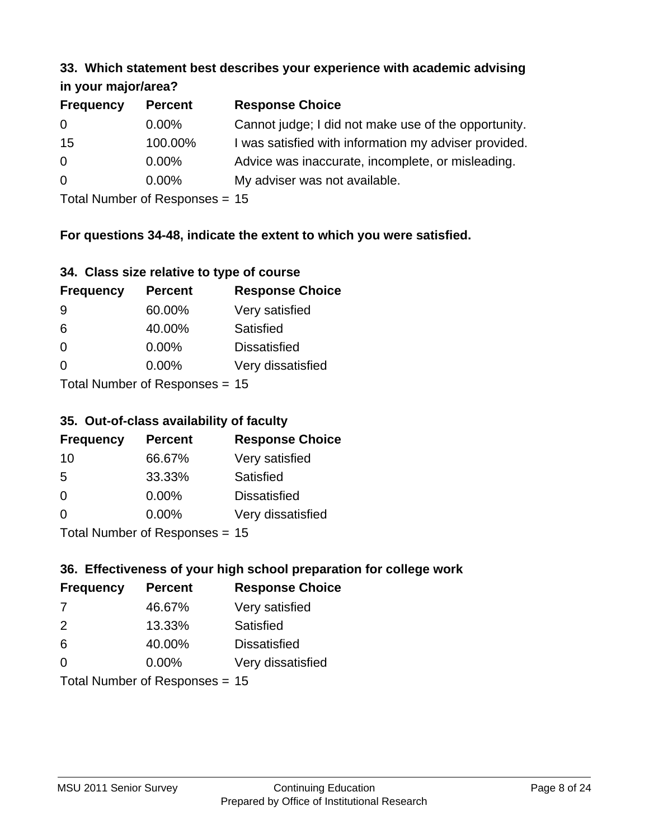#### **33. Which statement best describes your experience with academic advising in your major/area?**

| 11.70011110001701001 |                |                                                       |
|----------------------|----------------|-------------------------------------------------------|
| <b>Frequency</b>     | <b>Percent</b> | <b>Response Choice</b>                                |
| 0                    | $0.00\%$       | Cannot judge; I did not make use of the opportunity.  |
| 15                   | 100.00%        | I was satisfied with information my adviser provided. |
| $\overline{0}$       | $0.00\%$       | Advice was inaccurate, incomplete, or misleading.     |
| $\Omega$             | $0.00\%$       | My adviser was not available.                         |
|                      |                |                                                       |

Total Number of Responses = 15

### **For questions 34-48, indicate the extent to which you were satisfied.**

| 34. Class size relative to type of course |  |  |  |  |  |  |  |  |
|-------------------------------------------|--|--|--|--|--|--|--|--|
|-------------------------------------------|--|--|--|--|--|--|--|--|

| <b>Frequency</b> | <b>Percent</b>                   | <b>Response Choice</b> |
|------------------|----------------------------------|------------------------|
| -9               | 60.00%                           | Very satisfied         |
| 6                | 40.00%                           | Satisfied              |
| $\Omega$         | $0.00\%$                         | <b>Dissatisfied</b>    |
| $\Omega$         | 0.00%                            | Very dissatisfied      |
|                  | Total Number of Responses $= 15$ |                        |

Total Number of Responses = 15

### **35. Out-of-class availability of faculty**

| <b>Frequency</b> | <b>Percent</b>            | <b>Response Choice</b> |
|------------------|---------------------------|------------------------|
| 10               | 66.67%                    | Very satisfied         |
| 5                | 33.33%                    | Satisfied              |
| $\Omega$         | 0.00%                     | <b>Dissatisfied</b>    |
| $\Omega$         | $0.00\%$                  | Very dissatisfied      |
|                  | Total Number of DoEROR 0. |                        |

Total Number of Responses = 15

## **36. Effectiveness of your high school preparation for college work**

| <b>Frequency</b> | <b>Percent</b>                 | <b>Response Choice</b> |
|------------------|--------------------------------|------------------------|
| 7                | 46.67%                         | Very satisfied         |
| $\mathcal{P}$    | 13.33%                         | Satisfied              |
| 6                | 40.00%                         | <b>Dissatisfied</b>    |
| $\Omega$         | 0.00%                          | Very dissatisfied      |
|                  | Total Number of Responses = 15 |                        |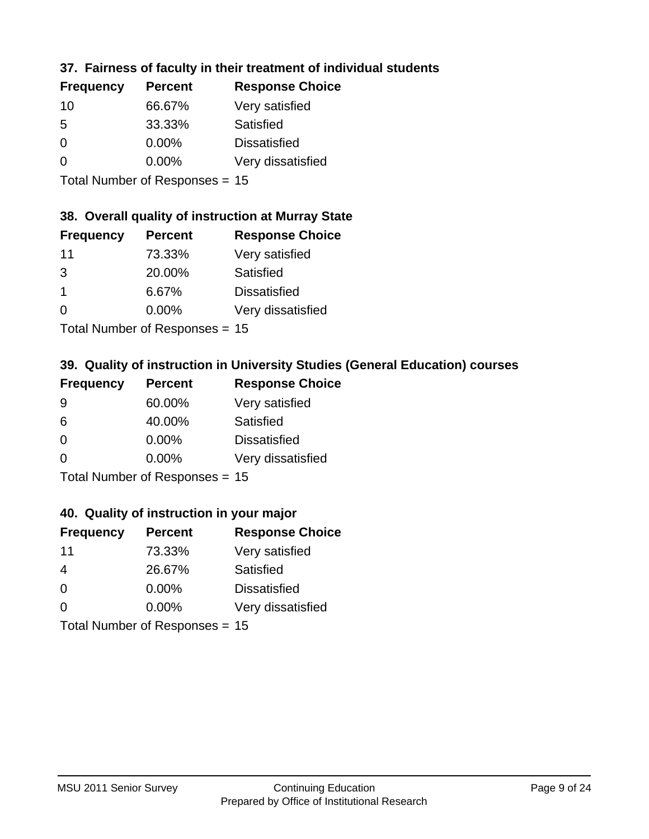## **37. Fairness of faculty in their treatment of individual students**

| <b>Frequency</b> | <b>Percent</b> | <b>Response Choice</b> |
|------------------|----------------|------------------------|
| 10               | 66.67%         | Very satisfied         |
| .5               | 33.33%         | Satisfied              |
| $\Omega$         | $0.00\%$       | <b>Dissatisfied</b>    |
| ∩                | 0.00%          | Very dissatisfied      |
|                  |                |                        |

Total Number of Responses = 15

### **38. Overall quality of instruction at Murray State**

| <b>Frequency</b> | <b>Percent</b> | <b>Response Choice</b> |
|------------------|----------------|------------------------|
| 11               | 73.33%         | Very satisfied         |
| 3                | 20.00%         | Satisfied              |
| $\overline{1}$   | 6.67%          | <b>Dissatisfied</b>    |
| $\Omega$         | 0.00%          | Very dissatisfied      |
|                  |                |                        |

Total Number of Responses = 15

### **39. Quality of instruction in University Studies (General Education) courses**

| <b>Frequency</b> | <b>Percent</b>            | <b>Response Choice</b> |
|------------------|---------------------------|------------------------|
| 9                | 60.00%                    | Very satisfied         |
| 6                | 40.00%                    | Satisfied              |
| $\Omega$         | 0.00%                     | <b>Dissatisfied</b>    |
| $\Omega$         | 0.00%                     | Very dissatisfied      |
|                  | Total Number of Desponses |                        |

Total Number of Responses = 15

### **40. Quality of instruction in your major**

| <b>Frequency</b> | <b>Percent</b>            | <b>Response Choice</b> |
|------------------|---------------------------|------------------------|
| 11               | 73.33%                    | Very satisfied         |
| 4                | 26.67%                    | Satisfied              |
| $\Omega$         | 0.00%                     | <b>Dissatisfied</b>    |
| $\Omega$         | 0.00%                     | Very dissatisfied      |
|                  | Total Number of Deepersee |                        |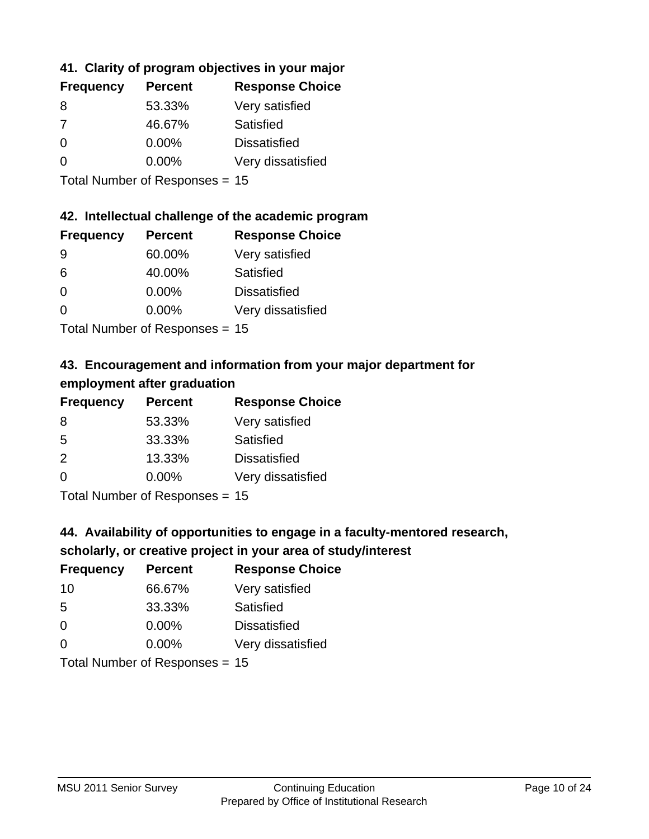## **41. Clarity of program objectives in your major**

| <b>Frequency</b> | <b>Percent</b> | <b>Response Choice</b> |
|------------------|----------------|------------------------|
| 8                | 53.33%         | Very satisfied         |
| -7               | 46.67%         | Satisfied              |
| $\Omega$         | $0.00\%$       | <b>Dissatisfied</b>    |
| ∩                | $0.00\%$       | Very dissatisfied      |
|                  |                |                        |

Total Number of Responses = 15

### **42. Intellectual challenge of the academic program**

| <b>Frequency</b> | <b>Percent</b> | <b>Response Choice</b> |
|------------------|----------------|------------------------|
| 9                | 60.00%         | Very satisfied         |
| 6                | 40.00%         | Satisfied              |
| $\Omega$         | 0.00%          | <b>Dissatisfied</b>    |
| $\Omega$         | 0.00%          | Very dissatisfied      |
|                  |                |                        |

Total Number of Responses = 15

## **43. Encouragement and information from your major department for employment after graduation**

| <b>Frequency</b> | <b>Percent</b>                | <b>Response Choice</b> |
|------------------|-------------------------------|------------------------|
| 8                | 53.33%                        | Very satisfied         |
| 5                | 33.33%                        | Satisfied              |
| 2                | 13.33%                        | <b>Dissatisfied</b>    |
| $\Omega$         | 0.00%                         | Very dissatisfied      |
|                  | $T$ and Number of Description |                        |

Total Number of Responses = 15

## **44. Availability of opportunities to engage in a faculty-mentored research,**

### **scholarly, or creative project in your area of study/interest**

| <b>Frequency</b> | <b>Percent</b> | <b>Response Choice</b> |
|------------------|----------------|------------------------|
| 10               | 66.67%         | Very satisfied         |
| 5                | 33.33%         | Satisfied              |
| $\Omega$         | $0.00\%$       | <b>Dissatisfied</b>    |
| $\Omega$         | 0.00%          | Very dissatisfied      |
|                  |                |                        |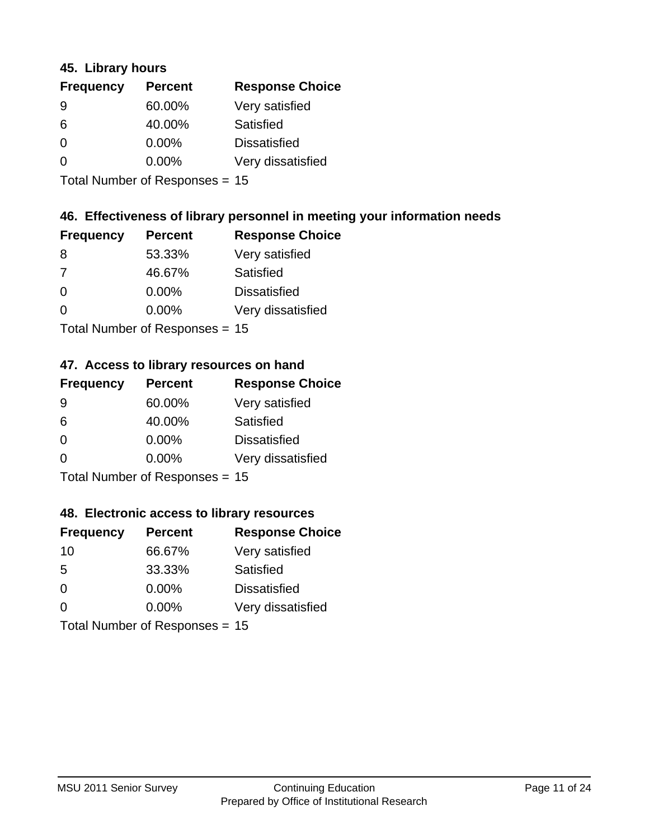### **45. Library hours**

| <b>Frequency</b> | <b>Percent</b> | <b>Response Choice</b> |
|------------------|----------------|------------------------|
| 9                | 60.00%         | Very satisfied         |
| 6                | 40.00%         | Satisfied              |
| $\Omega$         | 0.00%          | <b>Dissatisfied</b>    |
| $\Omega$         | 0.00%          | Very dissatisfied      |
|                  |                |                        |

Total Number of Responses = 15

### **46. Effectiveness of library personnel in meeting your information needs**

| <b>Frequency</b> | <b>Percent</b> | <b>Response Choice</b> |
|------------------|----------------|------------------------|
| 8                | 53.33%         | Very satisfied         |
| 7                | 46.67%         | Satisfied              |
| $\Omega$         | 0.00%          | <b>Dissatisfied</b>    |
| $\Omega$         | 0.00%          | Very dissatisfied      |
|                  |                |                        |

Total Number of Responses = 15

#### **47. Access to library resources on hand**

| <b>Frequency</b> | <b>Percent</b>                  | <b>Response Choice</b> |
|------------------|---------------------------------|------------------------|
| 9                | 60.00%                          | Very satisfied         |
| 6                | 40.00%                          | Satisfied              |
| $\Omega$         | $0.00\%$                        | <b>Dissatisfied</b>    |
| $\Omega$         | $0.00\%$                        | Very dissatisfied      |
|                  | $Total Number of Doonono0 = 4E$ |                        |

Total Number of Responses = 15

### **48. Electronic access to library resources**

| <b>Frequency</b> | <b>Percent</b>                 | <b>Response Choice</b> |
|------------------|--------------------------------|------------------------|
| 10               | 66.67%                         | Very satisfied         |
| 5                | 33.33%                         | Satisfied              |
| $\Omega$         | $0.00\%$                       | <b>Dissatisfied</b>    |
| $\Omega$         | $0.00\%$                       | Very dissatisfied      |
|                  | Total Number of Responses = 15 |                        |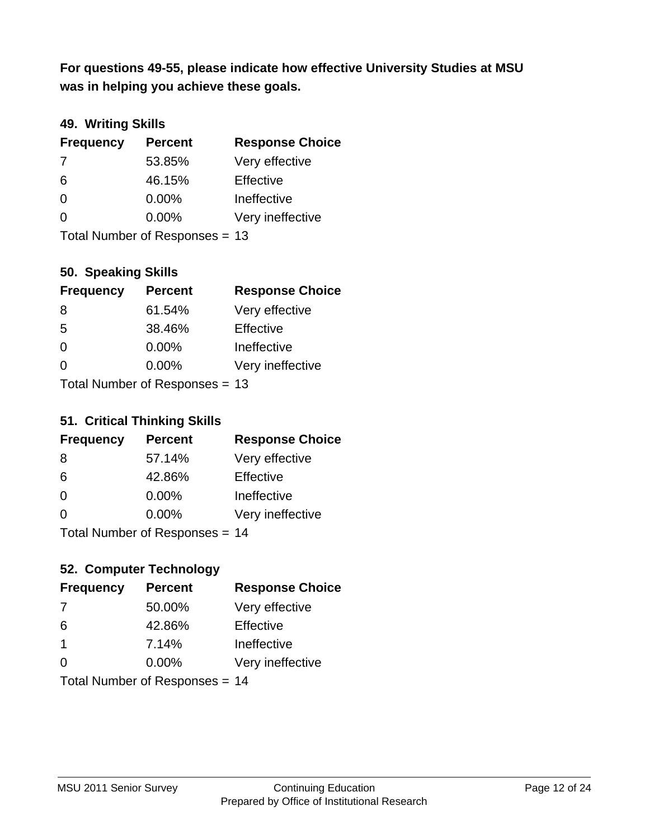**was in helping you achieve these goals. For questions 49-55, please indicate how effective University Studies at MSU** 

## **49. Writing Skills**

| <b>Frequency</b> | <b>Percent</b>                 | <b>Response Choice</b> |
|------------------|--------------------------------|------------------------|
| 7                | 53.85%                         | Very effective         |
| 6                | 46.15%                         | Effective              |
| $\Omega$         | 0.00%                          | Ineffective            |
| $\Omega$         | $0.00\%$                       | Very ineffective       |
|                  | Total Number of Responses = 13 |                        |

### **50. Speaking Skills**

| <b>Frequency</b> | <b>Percent</b>                 | <b>Response Choice</b> |
|------------------|--------------------------------|------------------------|
| -8               | 61.54%                         | Very effective         |
| 5                | 38.46%                         | Effective              |
| $\Omega$         | 0.00%                          | Ineffective            |
| $\Omega$         | 0.00%                          | Very ineffective       |
|                  | Total Number of Reconnege - 13 |                        |

Total Number of Responses = 13

#### **51. Critical Thinking Skills**

| <b>Frequency</b> | <b>Percent</b>                  | <b>Response Choice</b> |
|------------------|---------------------------------|------------------------|
| 8                | 57.14%                          | Very effective         |
| 6                | 42.86%                          | Effective              |
| $\Omega$         | 0.00%                           | Ineffective            |
| $\Omega$         | 0.00%                           | Very ineffective       |
|                  | $Total Number of Doonono0 = 11$ |                        |

Total Number of Responses = 14

## **52. Computer Technology**

| <b>Frequency</b> | <b>Percent</b>                 | <b>Response Choice</b> |
|------------------|--------------------------------|------------------------|
| 7                | 50.00%                         | Very effective         |
| 6                | 42.86%                         | Effective              |
| $\mathbf 1$      | 7.14%                          | Ineffective            |
| $\Omega$         | 0.00%                          | Very ineffective       |
|                  | Total Number of Responses = 14 |                        |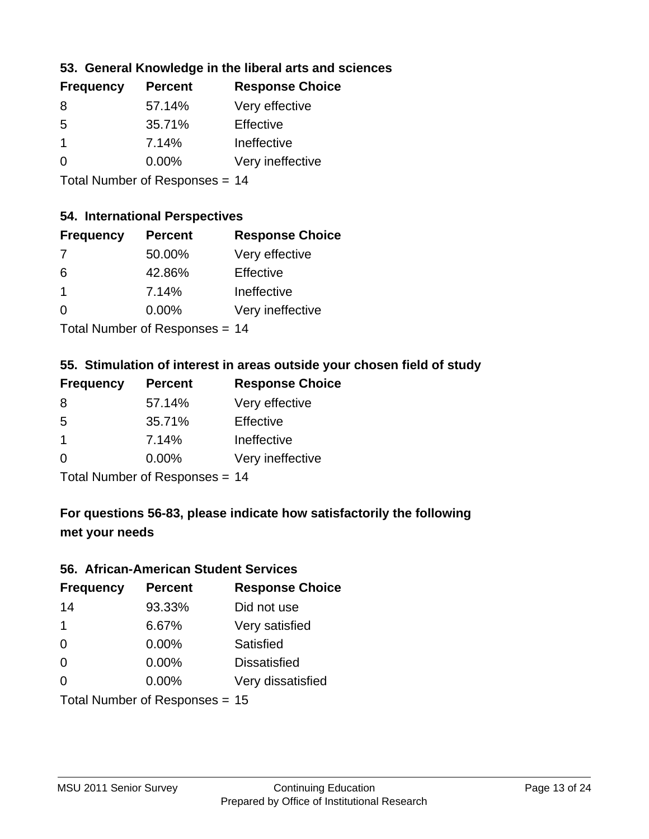### **53. General Knowledge in the liberal arts and sciences**

| <b>Frequency</b> | <b>Percent</b> | <b>Response Choice</b> |
|------------------|----------------|------------------------|
| 8                | 57.14%         | Very effective         |
| .5               | 35.71%         | Effective              |
|                  | 7.14%          | Ineffective            |
| $\Omega$         | $0.00\%$       | Very ineffective       |
|                  |                |                        |

Total Number of Responses = 14

### **54. International Perspectives**

| <b>Frequency</b> | <b>Percent</b> | <b>Response Choice</b> |
|------------------|----------------|------------------------|
| -7               | 50.00%         | Very effective         |
| 6                | 42.86%         | Effective              |
| $\mathbf{1}$     | 7.14%          | Ineffective            |
| $\Omega$         | 0.00%          | Very ineffective       |
|                  |                |                        |

Total Number of Responses = 14

### **55. Stimulation of interest in areas outside your chosen field of study**

| <b>Frequency</b>        | <b>Percent</b>             | <b>Response Choice</b> |
|-------------------------|----------------------------|------------------------|
| 8                       | 57.14%                     | Very effective         |
| .5                      | 35.71%                     | Effective              |
| $\overline{\mathbf{1}}$ | 7.14%                      | Ineffective            |
| $\Omega$                | 0.00%                      | Very ineffective       |
|                         | Total Number of Deepersoon |                        |

Total Number of Responses = 14

## **For questions 56-83, please indicate how satisfactorily the following met your needs**

#### **56. African-American Student Services**

| <b>Frequency</b> | <b>Percent</b>                 | <b>Response Choice</b> |
|------------------|--------------------------------|------------------------|
| 14               | 93.33%                         | Did not use            |
| $\mathbf 1$      | 6.67%                          | Very satisfied         |
| $\Omega$         | 0.00%                          | Satisfied              |
| $\Omega$         | $0.00\%$                       | <b>Dissatisfied</b>    |
| $\Omega$         | 0.00%                          | Very dissatisfied      |
|                  | Total Number of Responses = 15 |                        |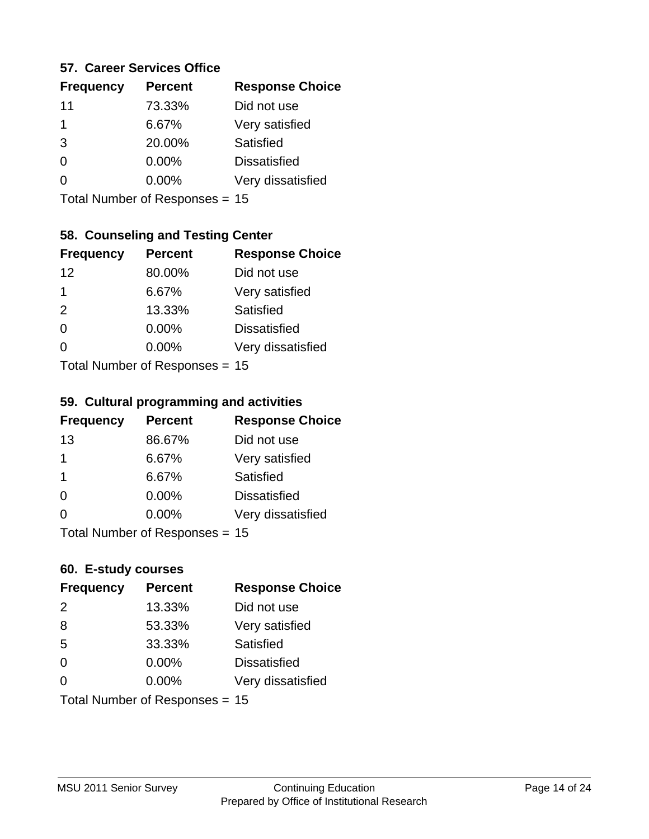### **57. Career Services Office**

| <b>Frequency</b> | <b>Percent</b> | <b>Response Choice</b> |
|------------------|----------------|------------------------|
| 11               | 73.33%         | Did not use            |
| 1                | 6.67%          | Very satisfied         |
| 3                | 20.00%         | Satisfied              |
| 0                | $0.00\%$       | <b>Dissatisfied</b>    |
|                  | $0.00\%$       | Very dissatisfied      |
|                  |                |                        |

Total Number of Responses = 15

### **58. Counseling and Testing Center**

| <b>Frequency</b>          | <b>Percent</b> | <b>Response Choice</b> |
|---------------------------|----------------|------------------------|
| 12                        | 80.00%         | Did not use            |
| 1                         | 6.67%          | Very satisfied         |
| 2                         | 13.33%         | <b>Satisfied</b>       |
| $\Omega$                  | 0.00%          | <b>Dissatisfied</b>    |
| ∩                         | 0.00%          | Very dissatisfied      |
| Total Number of Desponses |                |                        |

Total Number of Responses = 15

#### **59. Cultural programming and activities**

| <b>Frequency</b> | <b>Percent</b>                 | <b>Response Choice</b> |
|------------------|--------------------------------|------------------------|
| 13               | 86.67%                         | Did not use            |
| 1                | 6.67%                          | Very satisfied         |
| -1               | 6.67%                          | Satisfied              |
| $\Omega$         | $0.00\%$                       | <b>Dissatisfied</b>    |
| $\Omega$         | $0.00\%$                       | Very dissatisfied      |
|                  | Total Number of Responses = 15 |                        |

### **60. E-study courses**

| <b>Frequency</b> | <b>Percent</b>                 | <b>Response Choice</b> |
|------------------|--------------------------------|------------------------|
| 2                | 13.33%                         | Did not use            |
| 8                | 53.33%                         | Very satisfied         |
| 5                | 33.33%                         | Satisfied              |
| $\Omega$         | $0.00\%$                       | <b>Dissatisfied</b>    |
| $\Omega$         | 0.00%                          | Very dissatisfied      |
|                  | Total Number of Responses = 15 |                        |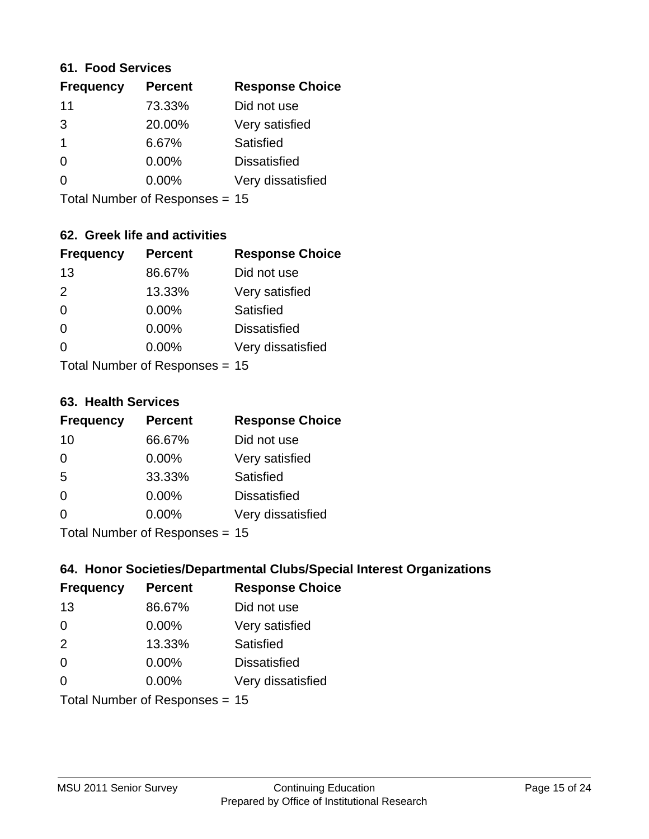#### **61. Food Services**

| <b>Frequency</b> | <b>Percent</b> | <b>Response Choice</b> |
|------------------|----------------|------------------------|
| 11               | 73.33%         | Did not use            |
| 3                | 20.00%         | Very satisfied         |
| -1               | 6.67%          | Satisfied              |
| 0                | $0.00\%$       | <b>Dissatisfied</b>    |
| O                | 0.00%          | Very dissatisfied      |
|                  |                |                        |

Total Number of Responses = 15

### **62. Greek life and activities**

| <b>Frequency</b> | <b>Percent</b>                   | <b>Response Choice</b> |
|------------------|----------------------------------|------------------------|
| 13               | 86.67%                           | Did not use            |
| 2                | 13.33%                           | Very satisfied         |
| $\Omega$         | 0.00%                            | Satisfied              |
| $\Omega$         | 0.00%                            | <b>Dissatisfied</b>    |
| 0                | $0.00\%$                         | Very dissatisfied      |
|                  | Total Number of Responses = $15$ |                        |

**63. Health Services**

| <b>Frequency</b>          | <b>Percent</b> | <b>Response Choice</b> |
|---------------------------|----------------|------------------------|
| 10                        | 66.67%         | Did not use            |
| $\Omega$                  | 0.00%          | Very satisfied         |
| 5                         | 33.33%         | Satisfied              |
| $\Omega$                  | 0.00%          | <b>Dissatisfied</b>    |
| $\Omega$                  | 0.00%          | Very dissatisfied      |
| Total Number of DoEROR 0. |                |                        |

Total Number of Responses = 15

### **64. Honor Societies/Departmental Clubs/Special Interest Organizations**

| <b>Frequency</b>               | <b>Percent</b> | <b>Response Choice</b> |
|--------------------------------|----------------|------------------------|
| 13                             | 86.67%         | Did not use            |
| $\Omega$                       | 0.00%          | Very satisfied         |
| 2                              | 13.33%         | Satisfied              |
| $\Omega$                       | 0.00%          | <b>Dissatisfied</b>    |
| $\Omega$                       | 0.00%          | Very dissatisfied      |
| Total Number of Responses = 15 |                |                        |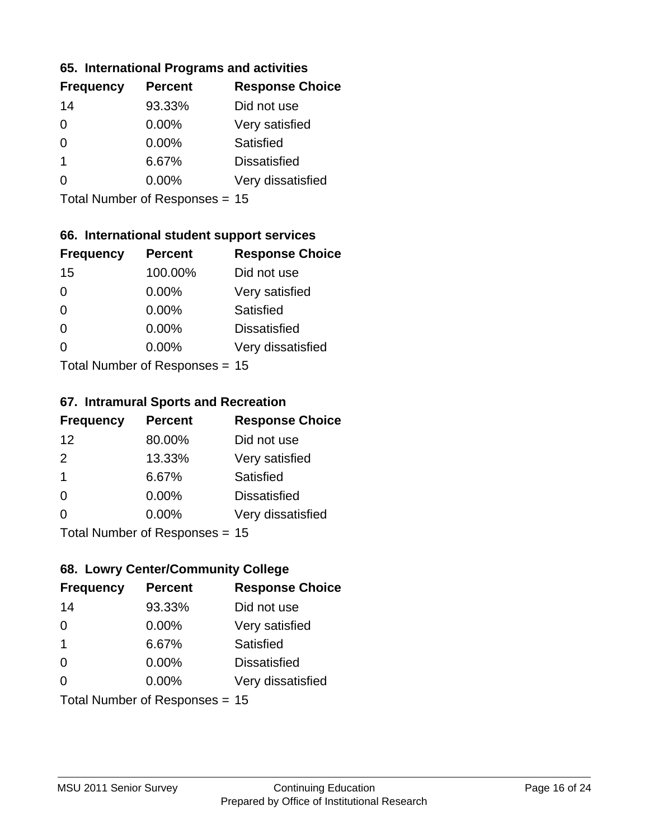### **65. International Programs and activities**

| <b>Frequency</b> | <b>Percent</b> | <b>Response Choice</b> |
|------------------|----------------|------------------------|
| 14               | 93.33%         | Did not use            |
| 0                | 0.00%          | Very satisfied         |
| 0                | $0.00\%$       | Satisfied              |
| 1                | 6.67%          | <b>Dissatisfied</b>    |
|                  | $0.00\%$       | Very dissatisfied      |
|                  |                |                        |

Total Number of Responses = 15

### **66. International student support services**

| <b>Frequency</b>          | <b>Percent</b> | <b>Response Choice</b> |
|---------------------------|----------------|------------------------|
| 15                        | 100.00%        | Did not use            |
| $\Omega$                  | 0.00%          | Very satisfied         |
| $\Omega$                  | $0.00\%$       | <b>Satisfied</b>       |
| $\Omega$                  | 0.00%          | <b>Dissatisfied</b>    |
| 0                         | 0.00%          | Very dissatisfied      |
| Total Number of Desponses |                |                        |

Total Number of Responses = 15

#### **67. Intramural Sports and Recreation**

| <b>Frequency</b>                | <b>Percent</b> | <b>Response Choice</b> |
|---------------------------------|----------------|------------------------|
| 12                              | 80.00%         | Did not use            |
| $\mathcal{P}$                   | 13.33%         | Very satisfied         |
| $\overline{\mathbf{1}}$         | 6.67%          | Satisfied              |
| $\Omega$                        | 0.00%          | <b>Dissatisfied</b>    |
| $\Omega$                        | 0.00%          | Very dissatisfied      |
| $Total Number of Denonose = 45$ |                |                        |

I otal Number of Responses = 15

## **68. Lowry Center/Community College**

| <b>Frequency</b>        | <b>Percent</b>                 | <b>Response Choice</b> |
|-------------------------|--------------------------------|------------------------|
| 14                      | 93.33%                         | Did not use            |
| $\Omega$                | $0.00\%$                       | Very satisfied         |
| $\overline{\mathbf{1}}$ | 6.67%                          | Satisfied              |
| $\Omega$                | 0.00%                          | <b>Dissatisfied</b>    |
| $\Omega$                | $0.00\%$                       | Very dissatisfied      |
|                         | Total Number of Responses = 15 |                        |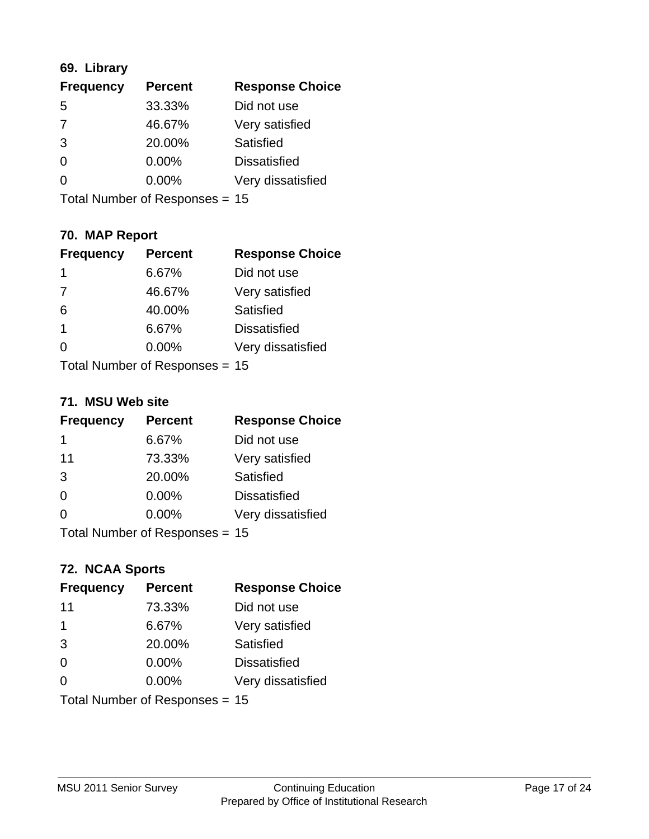## **69. Library**

| <b>Frequency</b> | <b>Percent</b> | <b>Response Choice</b> |
|------------------|----------------|------------------------|
| 5                | 33.33%         | Did not use            |
| 7                | 46.67%         | Very satisfied         |
| 3                | 20.00%         | Satisfied              |
| $\Omega$         | 0.00%          | <b>Dissatisfied</b>    |
| ∩                | 0.00%          | Very dissatisfied      |
|                  |                |                        |

Total Number of Responses = 15

## **70. MAP Report**

| <b>Frequency</b>               | <b>Percent</b> | <b>Response Choice</b> |
|--------------------------------|----------------|------------------------|
| 1                              | 6.67%          | Did not use            |
| $\overline{7}$                 | 46.67%         | Very satisfied         |
| 6                              | 40.00%         | Satisfied              |
| $\mathbf{1}$                   | 6.67%          | <b>Dissatisfied</b>    |
| 0                              | $0.00\%$       | Very dissatisfied      |
| Total Number of Responses = 15 |                |                        |

#### **71. MSU Web site**

| <b>Frequency</b>               | <b>Percent</b> | <b>Response Choice</b> |
|--------------------------------|----------------|------------------------|
| 1                              | 6.67%          | Did not use            |
| 11                             | 73.33%         | Very satisfied         |
| 3                              | 20.00%         | Satisfied              |
| $\Omega$                       | 0.00%          | <b>Dissatisfied</b>    |
| ∩                              | $0.00\%$       | Very dissatisfied      |
| Total Number of Responses = 15 |                |                        |

### **72. NCAA Sports**

| <b>Frequency</b>               | <b>Percent</b> | <b>Response Choice</b> |
|--------------------------------|----------------|------------------------|
| 11                             | 73.33%         | Did not use            |
| -1                             | 6.67%          | Very satisfied         |
| 3                              | 20.00%         | Satisfied              |
| $\Omega$                       | 0.00%          | <b>Dissatisfied</b>    |
| $\Omega$                       | $0.00\%$       | Very dissatisfied      |
| Total Number of Responses = 15 |                |                        |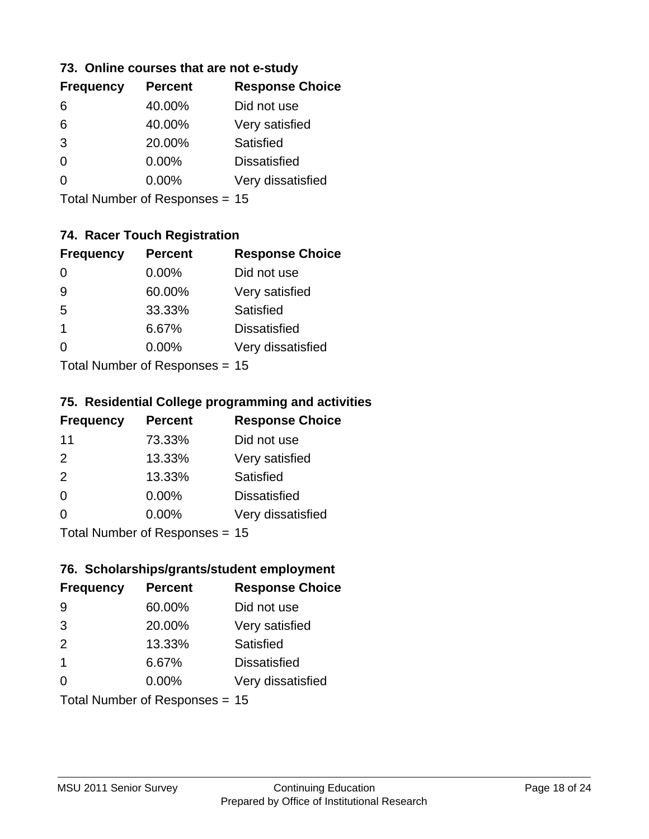### **73. Online courses that are not e-study**

| <b>Frequency</b> | <b>Percent</b> | <b>Response Choice</b> |
|------------------|----------------|------------------------|
| 6                | 40.00%         | Did not use            |
| 6                | 40.00%         | Very satisfied         |
| 3                | 20.00%         | Satisfied              |
| 0                | 0.00%          | <b>Dissatisfied</b>    |
|                  | $0.00\%$       | Very dissatisfied      |
|                  |                |                        |

Total Number of Responses = 15

## **74. Racer Touch Registration**

| <b>Frequency</b>          | <b>Percent</b> | <b>Response Choice</b> |
|---------------------------|----------------|------------------------|
| $\Omega$                  | 0.00%          | Did not use            |
| 9                         | 60.00%         | Very satisfied         |
| 5                         | 33.33%         | <b>Satisfied</b>       |
| 1                         | 6.67%          | <b>Dissatisfied</b>    |
| 0                         | $0.00\%$       | Very dissatisfied      |
| Total Number of Doopepooo |                |                        |

Total Number of Responses = 15

### **75. Residential College programming and activities**

| <b>Frequency</b> | <b>Percent</b>            | <b>Response Choice</b> |
|------------------|---------------------------|------------------------|
| 11               | 73.33%                    | Did not use            |
| 2                | 13.33%                    | Very satisfied         |
| 2                | 13.33%                    | Satisfied              |
| $\Omega$         | $0.00\%$                  | <b>Dissatisfied</b>    |
| 0                | 0.00%                     | Very dissatisfied      |
|                  | Total Number of DoEROR 0. |                        |

Total Number of Responses = 15

## **76. Scholarships/grants/student employment**

| <b>Frequency</b>               | <b>Percent</b> | <b>Response Choice</b> |
|--------------------------------|----------------|------------------------|
| 9                              | 60.00%         | Did not use            |
| 3                              | 20.00%         | Very satisfied         |
| 2                              | 13.33%         | Satisfied              |
| $\overline{\mathbf{1}}$        | 6.67%          | <b>Dissatisfied</b>    |
| $\Omega$                       | $0.00\%$       | Very dissatisfied      |
| Total Number of Responses = 15 |                |                        |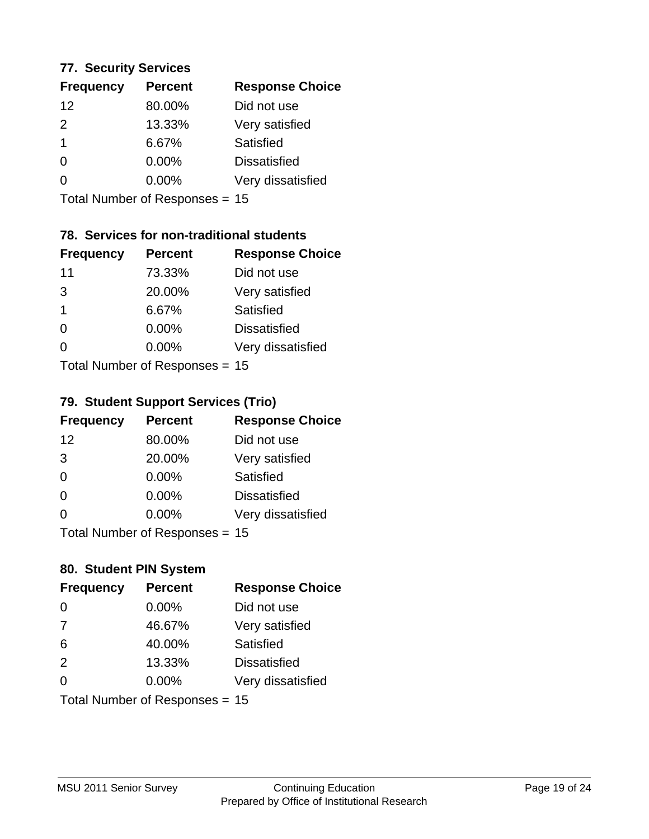### **77. Security Services**

| <b>Frequency</b> | <b>Percent</b> | <b>Response Choice</b> |
|------------------|----------------|------------------------|
| 12               | 80.00%         | Did not use            |
| $\mathcal{P}$    | 13.33%         | Very satisfied         |
| 1                | 6.67%          | Satisfied              |
| 0                | $0.00\%$       | <b>Dissatisfied</b>    |
|                  | $0.00\%$       | Very dissatisfied      |
|                  |                |                        |

Total Number of Responses = 15

## **78. Services for non-traditional students**

| <b>Frequency</b>          | <b>Percent</b> | <b>Response Choice</b> |
|---------------------------|----------------|------------------------|
| 11                        | 73.33%         | Did not use            |
| 3                         | 20.00%         | Very satisfied         |
| 1                         | 6.67%          | Satisfied              |
| 0                         | 0.00%          | <b>Dissatisfied</b>    |
| ∩                         | 0.00%          | Very dissatisfied      |
| Total Number of Desponses |                |                        |

Total Number of Responses = 15

### **79. Student Support Services (Trio)**

| <b>Frequency</b> | <b>Percent</b>            | <b>Response Choice</b> |
|------------------|---------------------------|------------------------|
| 12               | 80.00%                    | Did not use            |
| 3                | 20.00%                    | Very satisfied         |
| $\Omega$         | $0.00\%$                  | Satisfied              |
| $\Omega$         | 0.00%                     | <b>Dissatisfied</b>    |
| $\Omega$         | 0.00%                     | Very dissatisfied      |
|                  | Total Number of DoEROR 0. |                        |

Total Number of Responses = 15

## **80. Student PIN System**

| <b>Frequency</b>               | <b>Percent</b> | <b>Response Choice</b> |
|--------------------------------|----------------|------------------------|
| $\Omega$                       | 0.00%          | Did not use            |
| 7                              | 46.67%         | Very satisfied         |
| 6                              | 40.00%         | Satisfied              |
| 2                              | 13.33%         | <b>Dissatisfied</b>    |
| 0                              | 0.00%          | Very dissatisfied      |
| Total Number of Responses = 15 |                |                        |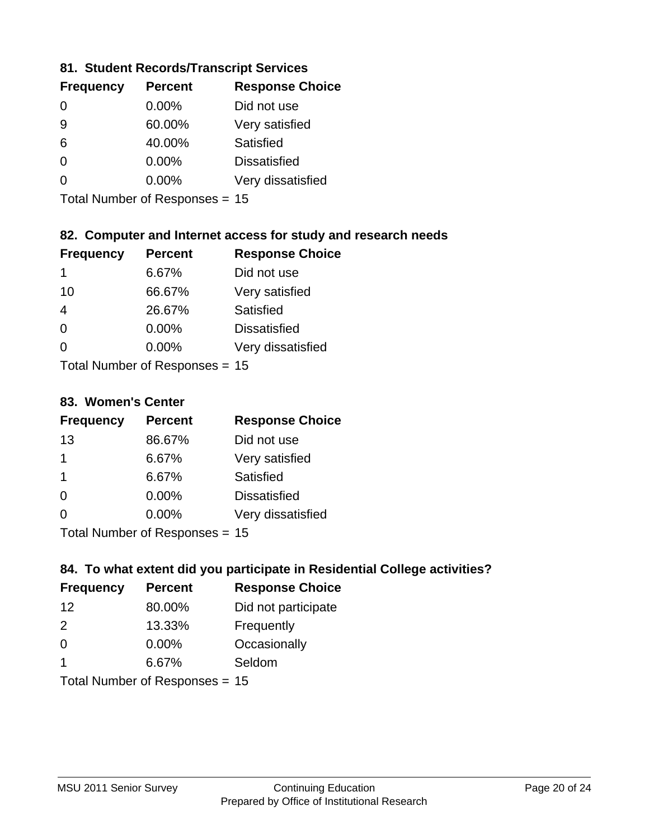### **81. Student Records/Transcript Services**

| <b>Percent</b> | <b>Response Choice</b> |
|----------------|------------------------|
| 0.00%          | Did not use            |
| 60.00%         | Very satisfied         |
| 40.00%         | Satisfied              |
| 0.00%          | <b>Dissatisfied</b>    |
| $0.00\%$       | Very dissatisfied      |
|                |                        |

Total Number of Responses = 15

### **82. Computer and Internet access for study and research needs**

| <b>Frequency</b>          | <b>Percent</b> | <b>Response Choice</b> |
|---------------------------|----------------|------------------------|
| 1                         | 6.67%          | Did not use            |
| 10                        | 66.67%         | Very satisfied         |
| $\overline{4}$            | 26.67%         | Satisfied              |
| $\Omega$                  | 0.00%          | <b>Dissatisfied</b>    |
| ∩                         | 0.00%          | Very dissatisfied      |
| Total Number of Deepersee |                |                        |

Total Number of Responses = 15

#### **83. Women's Center**

| <b>Frequency</b>           | <b>Percent</b> | <b>Response Choice</b> |  |
|----------------------------|----------------|------------------------|--|
| 13                         | 86.67%         | Did not use            |  |
| 1                          | 6.67%          | Very satisfied         |  |
| -1                         | 6.67%          | Satisfied              |  |
| $\Omega$                   | $0.00\%$       | <b>Dissatisfied</b>    |  |
| $\Omega$                   | 0.00%          | Very dissatisfied      |  |
| Total Number of Deepersoon |                |                        |  |

Total Number of Responses = 15

### **84. To what extent did you participate in Residential College activities?**

| <b>Frequency</b> | <b>Percent</b>            | <b>Response Choice</b> |
|------------------|---------------------------|------------------------|
| 12               | 80.00%                    | Did not participate    |
| $\mathcal{P}$    | 13.33%                    | Frequently             |
| $\Omega$         | 0.00%                     | Occasionally           |
|                  | 6.67%                     | Seldom                 |
|                  | Total Number of DoEROR 0. |                        |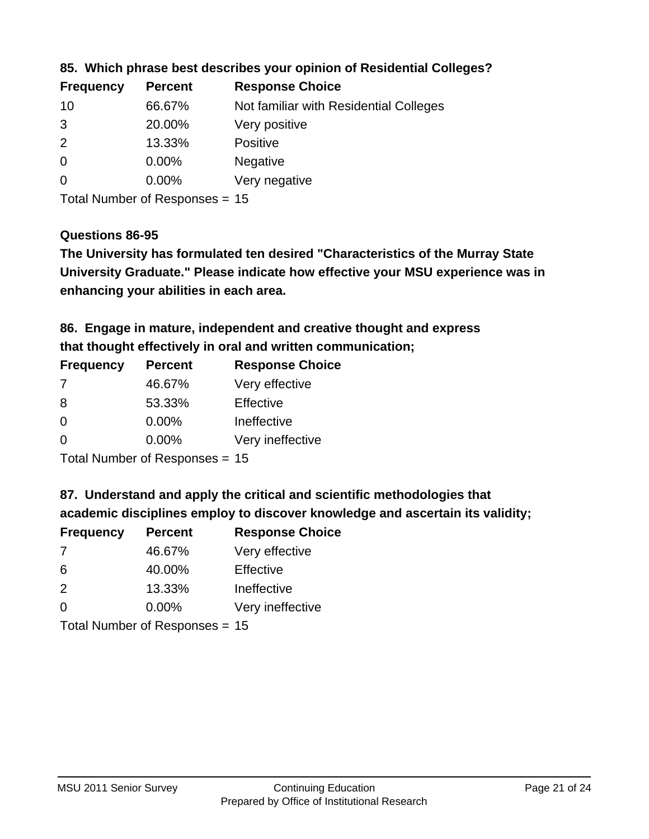| <b>Frequency</b> | <b>Percent</b> | <b>Response Choice</b>                 |
|------------------|----------------|----------------------------------------|
| 10               | 66.67%         | Not familiar with Residential Colleges |
| -3               | 20.00%         | Very positive                          |
| 2                | 13.33%         | <b>Positive</b>                        |
| $\overline{0}$   | $0.00\%$       | <b>Negative</b>                        |
| $\overline{0}$   | 0.00%          | Very negative                          |
|                  |                |                                        |

**85. Which phrase best describes your opinion of Residential Colleges?**

Total Number of Responses = 15

### **Questions 86-95**

**University Graduate." Please indicate how effective your MSU experience was in The University has formulated ten desired "Characteristics of the Murray State enhancing your abilities in each area.**

**86. Engage in mature, independent and creative thought and express that thought effectively in oral and written communication;**

| <b>Frequency</b> | <b>Percent</b> | <b>Response Choice</b> |
|------------------|----------------|------------------------|
| 7                | 46.67%         | Very effective         |
| 8                | 53.33%         | Effective              |
| 0                | 0.00%          | Ineffective            |
| $\Omega$         | $0.00\%$       | Very ineffective       |
|                  |                |                        |

Total Number of Responses = 15

**87. Understand and apply the critical and scientific methodologies that** 

**academic disciplines employ to discover knowledge and ascertain its validity;**

| <b>Frequency</b> | <b>Percent</b> | <b>Response Choice</b> |
|------------------|----------------|------------------------|
| 7                | 46.67%         | Very effective         |
| 6                | 40.00%         | Effective              |
| $\mathcal{P}$    | 13.33%         | Ineffective            |
| $\Omega$         | 0.00%          | Very ineffective       |
|                  |                |                        |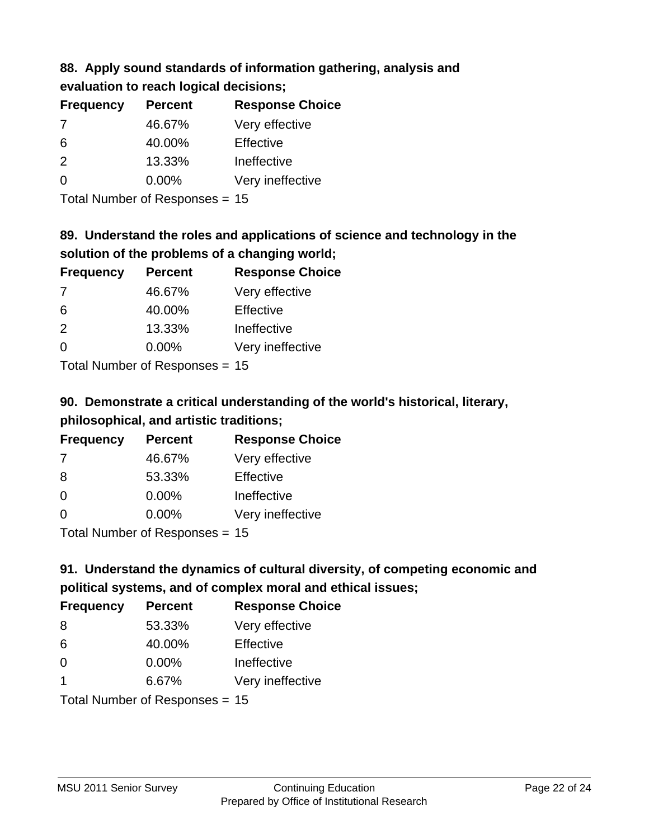## **88. Apply sound standards of information gathering, analysis and evaluation to reach logical decisions;**

| <b>Percent</b> | <b>Response Choice</b> |
|----------------|------------------------|
| 46.67%         | Very effective         |
| 40.00%         | Effective              |
| 13.33%         | Ineffective            |
| $0.00\%$       | Very ineffective       |
|                |                        |

Total Number of Responses = 15

## **89. Understand the roles and applications of science and technology in the solution of the problems of a changing world;**

| <b>Frequency</b>           | <b>Percent</b> | <b>Response Choice</b> |
|----------------------------|----------------|------------------------|
| 7                          | 46.67%         | Very effective         |
| 6                          | 40.00%         | Effective              |
| 2                          | 13.33%         | Ineffective            |
| $\Omega$                   | 0.00%          | Very ineffective       |
| Tatal Manakan af Dagmanage |                |                        |

Total Number of Responses = 15

# **90. Demonstrate a critical understanding of the world's historical, literary, philosophical, and artistic traditions;**

| <b>Frequency</b> | <b>Percent</b>               | <b>Response Choice</b> |
|------------------|------------------------------|------------------------|
| 7                | 46.67%                       | Very effective         |
| 8                | 53.33%                       | Effective              |
| $\Omega$         | 0.00%                        | Ineffective            |
| $\Omega$         | 0.00%                        | Very ineffective       |
|                  | The HI all and December 2014 |                        |

Total Number of Responses = 15

# **91. Understand the dynamics of cultural diversity, of competing economic and political systems, and of complex moral and ethical issues;**

| <b>Frequency</b>        | <b>Percent</b>                 | <b>Response Choice</b> |
|-------------------------|--------------------------------|------------------------|
| 8                       | 53.33%                         | Very effective         |
| 6                       | 40.00%                         | Effective              |
| $\Omega$                | 0.00%                          | Ineffective            |
| $\overline{\mathbf{1}}$ | 6.67%                          | Very ineffective       |
|                         | Total Number of Responses = 15 |                        |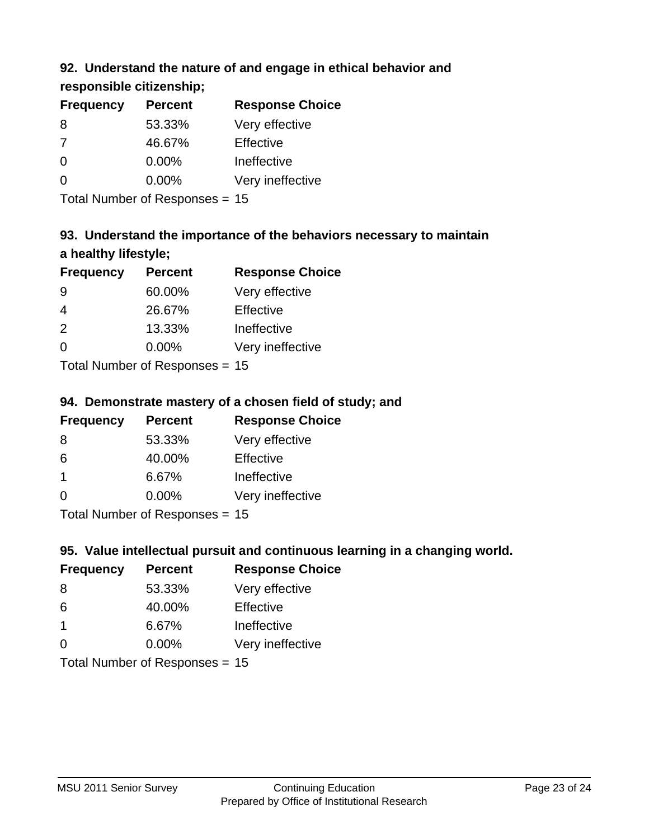## **92. Understand the nature of and engage in ethical behavior and**

**responsible citizenship;**

| <b>Frequency</b> | <b>Percent</b> | <b>Response Choice</b> |
|------------------|----------------|------------------------|
| 8                | 53.33%         | Very effective         |
| 7                | 46.67%         | Effective              |
| $\Omega$         | $0.00\%$       | Ineffective            |
| $\Omega$         | $0.00\%$       | Very ineffective       |
|                  |                |                        |

Total Number of Responses = 15

# **93. Understand the importance of the behaviors necessary to maintain a healthy lifestyle;**

| <b>Frequency</b>           | <b>Percent</b> | <b>Response Choice</b> |
|----------------------------|----------------|------------------------|
| 9                          | 60.00%         | Very effective         |
| $\overline{4}$             | 26.67%         | Effective              |
| 2                          | 13.33%         | Ineffective            |
| $\Omega$                   | 0.00%          | Very ineffective       |
| Tatal Number of Desperance |                |                        |

Total Number of Responses = 15

## **94. Demonstrate mastery of a chosen field of study; and**

| <b>Frequency</b> | <b>Percent</b> | <b>Response Choice</b> |
|------------------|----------------|------------------------|
| 8                | 53.33%         | Very effective         |
| 6                | 40.00%         | Effective              |
| $\mathbf 1$      | 6.67%          | Ineffective            |
| $\Omega$         | 0.00%          | Very ineffective       |
|                  |                |                        |

Total Number of Responses = 15

## **95. Value intellectual pursuit and continuous learning in a changing world.**

| <b>Frequency</b>           | <b>Percent</b> | <b>Response Choice</b> |
|----------------------------|----------------|------------------------|
| 8                          | 53.33%         | Very effective         |
| 6                          | 40.00%         | Effective              |
| $\mathbf 1$                | 6.67%          | Ineffective            |
| $\Omega$                   | 0.00%          | Very ineffective       |
| Tatal Manakan af Dagmanage |                |                        |